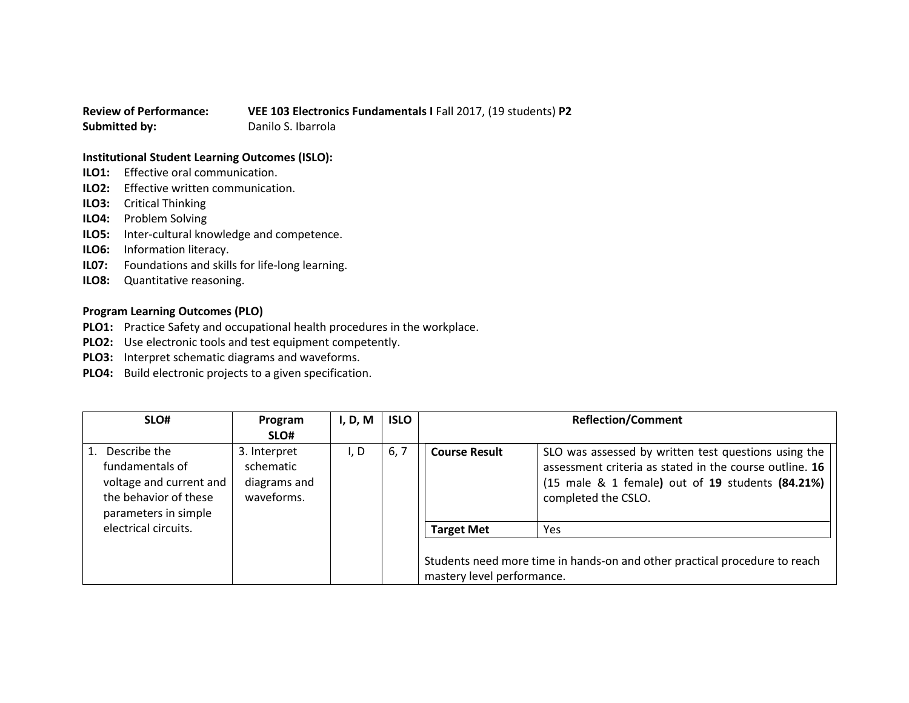## **Review of Performance: VEE 103 Electronics Fundamentals I** Fall 2017, (19 students) **P2 Submitted by:** Danilo S. Ibarrola

## **Institutional Student Learning Outcomes (ISLO):**

- **ILO1:** Effective oral communication.
- **ILO2:** Effective written communication.
- **ILO3:** Critical Thinking
- **ILO4:** Problem Solving
- **ILO5:** Inter-cultural knowledge and competence.
- **ILO6:** Information literacy.
- **IL07:** Foundations and skills for life-long learning.
- **ILO8:** Quantitative reasoning.

## **Program Learning Outcomes (PLO)**

- **PLO1:** Practice Safety and occupational health procedures in the workplace.
- **PLO2:** Use electronic tools and test equipment competently.
- **PLO3:** Interpret schematic diagrams and waveforms.
- **PLO4:** Build electronic projects to a given specification.

| SLO#                                                                                                        | Program                                                 | I, D, M | <b>ISLO</b> | <b>Reflection/Comment</b>  |                                                                                                                                                                                            |
|-------------------------------------------------------------------------------------------------------------|---------------------------------------------------------|---------|-------------|----------------------------|--------------------------------------------------------------------------------------------------------------------------------------------------------------------------------------------|
|                                                                                                             | SLO#                                                    |         |             |                            |                                                                                                                                                                                            |
| Describe the<br>fundamentals of<br>voltage and current and<br>the behavior of these<br>parameters in simple | 3. Interpret<br>schematic<br>diagrams and<br>waveforms. | I, D    | 6, 7        | <b>Course Result</b>       | SLO was assessed by written test questions using the<br>assessment criteria as stated in the course outline. 16<br>(15 male & 1 female) out of 19 students (84.21%)<br>completed the CSLO. |
| electrical circuits.                                                                                        |                                                         |         |             | <b>Target Met</b>          | Yes                                                                                                                                                                                        |
|                                                                                                             |                                                         |         |             | mastery level performance. | Students need more time in hands-on and other practical procedure to reach                                                                                                                 |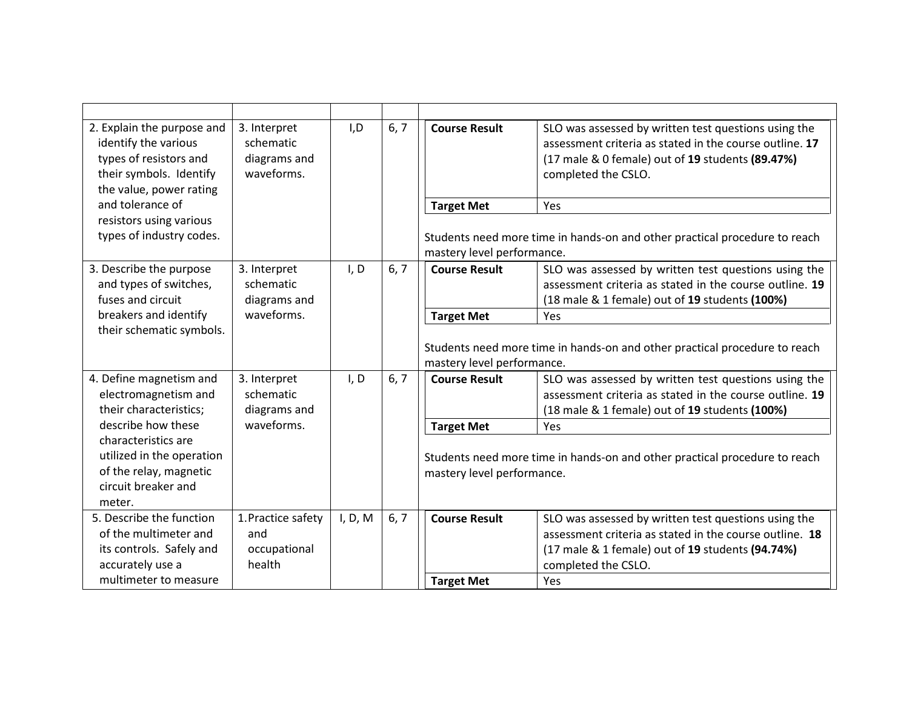| 2. Explain the purpose and<br>identify the various<br>types of resistors and<br>their symbols. Identify<br>the value, power rating | 3. Interpret<br>schematic<br>diagrams and<br>waveforms. | I, D    | 6, 7 | <b>Course Result</b>                                                                                     | SLO was assessed by written test questions using the<br>assessment criteria as stated in the course outline. 17<br>(17 male & 0 female) out of 19 students (89.47%)<br>completed the CSLO. |
|------------------------------------------------------------------------------------------------------------------------------------|---------------------------------------------------------|---------|------|----------------------------------------------------------------------------------------------------------|--------------------------------------------------------------------------------------------------------------------------------------------------------------------------------------------|
| and tolerance of                                                                                                                   |                                                         |         |      | <b>Target Met</b>                                                                                        | Yes                                                                                                                                                                                        |
| resistors using various<br>types of industry codes.                                                                                |                                                         |         |      | Students need more time in hands-on and other practical procedure to reach<br>mastery level performance. |                                                                                                                                                                                            |
| 3. Describe the purpose<br>and types of switches,                                                                                  | 3. Interpret<br>schematic                               | I, D    | 6, 7 | <b>Course Result</b>                                                                                     | SLO was assessed by written test questions using the<br>assessment criteria as stated in the course outline. 19                                                                            |
| fuses and circuit                                                                                                                  | diagrams and<br>waveforms.                              |         |      |                                                                                                          | (18 male & 1 female) out of 19 students (100%)                                                                                                                                             |
| breakers and identify<br>their schematic symbols.                                                                                  |                                                         |         |      | <b>Target Met</b>                                                                                        | Yes                                                                                                                                                                                        |
|                                                                                                                                    |                                                         |         |      |                                                                                                          | Students need more time in hands-on and other practical procedure to reach                                                                                                                 |
|                                                                                                                                    |                                                         |         |      | mastery level performance.                                                                               |                                                                                                                                                                                            |
| 4. Define magnetism and                                                                                                            | 3. Interpret                                            | I, D    | 6, 7 | <b>Course Result</b>                                                                                     | SLO was assessed by written test questions using the                                                                                                                                       |
| electromagnetism and                                                                                                               | schematic                                               |         |      |                                                                                                          | assessment criteria as stated in the course outline. 19                                                                                                                                    |
| their characteristics;<br>describe how these                                                                                       | diagrams and<br>waveforms.                              |         |      |                                                                                                          | (18 male & 1 female) out of 19 students (100%)                                                                                                                                             |
| characteristics are                                                                                                                |                                                         |         |      | <b>Target Met</b><br>Yes                                                                                 |                                                                                                                                                                                            |
| utilized in the operation                                                                                                          |                                                         |         |      | Students need more time in hands-on and other practical procedure to reach                               |                                                                                                                                                                                            |
| of the relay, magnetic                                                                                                             |                                                         |         |      | mastery level performance.                                                                               |                                                                                                                                                                                            |
| circuit breaker and                                                                                                                |                                                         |         |      |                                                                                                          |                                                                                                                                                                                            |
| meter.                                                                                                                             |                                                         |         |      |                                                                                                          |                                                                                                                                                                                            |
| 5. Describe the function                                                                                                           | 1. Practice safety                                      | I, D, M | 6, 7 | <b>Course Result</b>                                                                                     | SLO was assessed by written test questions using the                                                                                                                                       |
| of the multimeter and                                                                                                              | and                                                     |         |      |                                                                                                          | assessment criteria as stated in the course outline. 18                                                                                                                                    |
| its controls. Safely and                                                                                                           | occupational                                            |         |      |                                                                                                          | (17 male & 1 female) out of 19 students (94.74%)                                                                                                                                           |
| accurately use a<br>multimeter to measure                                                                                          | health                                                  |         |      |                                                                                                          | completed the CSLO.                                                                                                                                                                        |
|                                                                                                                                    |                                                         |         |      | <b>Target Met</b>                                                                                        | Yes                                                                                                                                                                                        |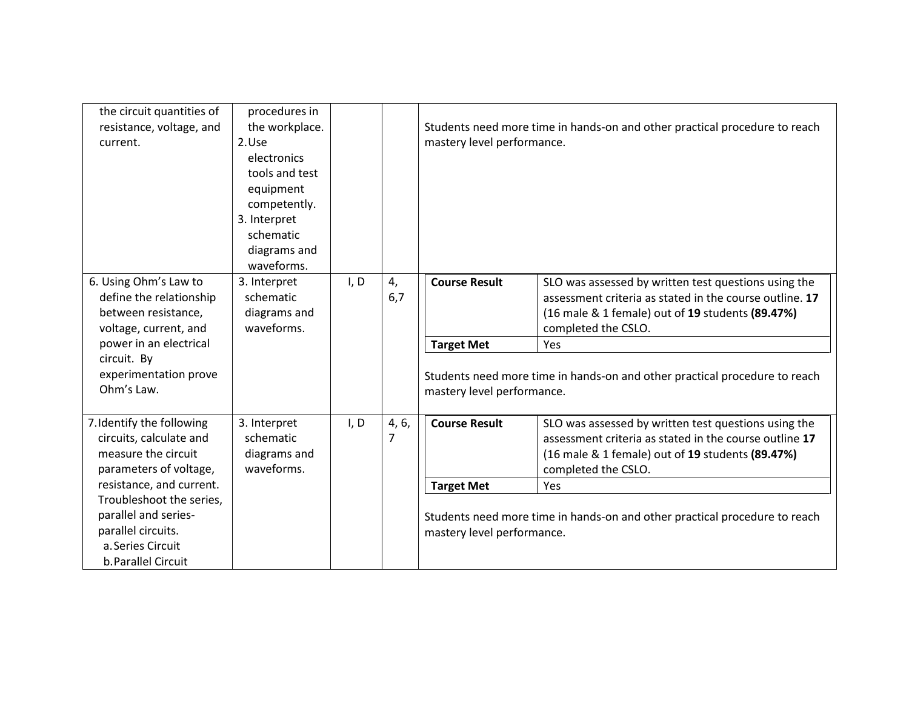| the circuit quantities of<br>resistance, voltage, and<br>current.                                                  | procedures in<br>the workplace.<br>2.Use<br>electronics<br>tools and test<br>equipment<br>competently.<br>3. Interpret |      |                         | Students need more time in hands-on and other practical procedure to reach<br>mastery level performance. |                                                                                                                                                                                            |
|--------------------------------------------------------------------------------------------------------------------|------------------------------------------------------------------------------------------------------------------------|------|-------------------------|----------------------------------------------------------------------------------------------------------|--------------------------------------------------------------------------------------------------------------------------------------------------------------------------------------------|
|                                                                                                                    | schematic<br>diagrams and                                                                                              |      |                         |                                                                                                          |                                                                                                                                                                                            |
|                                                                                                                    | waveforms.                                                                                                             |      |                         |                                                                                                          |                                                                                                                                                                                            |
| 6. Using Ohm's Law to<br>define the relationship<br>between resistance,<br>voltage, current, and                   | 3. Interpret<br>schematic<br>diagrams and<br>waveforms.                                                                | I, D | 4,<br>6,7               | <b>Course Result</b>                                                                                     | SLO was assessed by written test questions using the<br>assessment criteria as stated in the course outline. 17<br>(16 male & 1 female) out of 19 students (89.47%)<br>completed the CSLO. |
| power in an electrical                                                                                             |                                                                                                                        |      |                         | <b>Target Met</b>                                                                                        | Yes                                                                                                                                                                                        |
| circuit. By<br>experimentation prove<br>Ohm's Law.                                                                 |                                                                                                                        |      |                         | mastery level performance.                                                                               | Students need more time in hands-on and other practical procedure to reach                                                                                                                 |
| 7. Identify the following<br>circuits, calculate and<br>measure the circuit<br>parameters of voltage,              | 3. Interpret<br>schematic<br>diagrams and<br>waveforms.                                                                | I, D | 4, 6,<br>$\overline{7}$ | <b>Course Result</b>                                                                                     | SLO was assessed by written test questions using the<br>assessment criteria as stated in the course outline 17<br>(16 male & 1 female) out of 19 students (89.47%)<br>completed the CSLO.  |
| resistance, and current.                                                                                           |                                                                                                                        |      |                         | <b>Target Met</b>                                                                                        | Yes                                                                                                                                                                                        |
| Troubleshoot the series,<br>parallel and series-<br>parallel circuits.<br>a. Series Circuit<br>b. Parallel Circuit |                                                                                                                        |      |                         | mastery level performance.                                                                               | Students need more time in hands-on and other practical procedure to reach                                                                                                                 |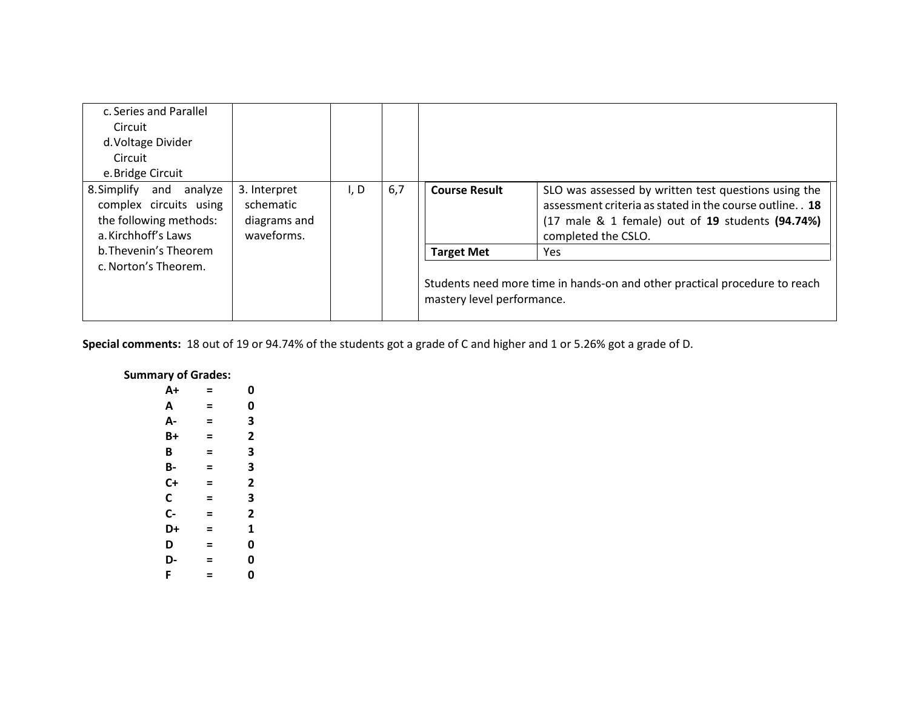| c. Series and Parallel                                                                                   |                                                         |      |     |                                                                                                          |                                                                                                                                                                                              |
|----------------------------------------------------------------------------------------------------------|---------------------------------------------------------|------|-----|----------------------------------------------------------------------------------------------------------|----------------------------------------------------------------------------------------------------------------------------------------------------------------------------------------------|
| Circuit                                                                                                  |                                                         |      |     |                                                                                                          |                                                                                                                                                                                              |
| d. Voltage Divider                                                                                       |                                                         |      |     |                                                                                                          |                                                                                                                                                                                              |
| Circuit                                                                                                  |                                                         |      |     |                                                                                                          |                                                                                                                                                                                              |
| e.Bridge Circuit                                                                                         |                                                         |      |     |                                                                                                          |                                                                                                                                                                                              |
| 8. Simplify<br>and<br>analyze<br>complex circuits using<br>the following methods:<br>a. Kirchhoff's Laws | 3. Interpret<br>schematic<br>diagrams and<br>waveforms. | I, D | 6,7 | <b>Course Result</b>                                                                                     | SLO was assessed by written test questions using the<br>assessment criteria as stated in the course outline. . 18<br>(17 male & 1 female) out of 19 students (94.74%)<br>completed the CSLO. |
| b. Thevenin's Theorem                                                                                    |                                                         |      |     | <b>Target Met</b>                                                                                        | Yes                                                                                                                                                                                          |
| c. Norton's Theorem.                                                                                     |                                                         |      |     | Students need more time in hands-on and other practical procedure to reach<br>mastery level performance. |                                                                                                                                                                                              |

**Special comments:** 18 out of 19 or 94.74% of the students got a grade of C and higher and 1 or 5.26% got a grade of D.

## **Summary of Grades:**

| A+ | = | 0 |
|----|---|---|
| А  | Ξ | 0 |
| А- | Ξ | 3 |
| B+ | Ξ | 2 |
| В  | Ξ | 3 |
| В- | Ξ | 3 |
| C+ | Ξ | 2 |
| С  | Ξ | 3 |
| C- | = | 2 |
| D+ | Ξ | 1 |
| D  | Ξ | 0 |
| D- | = | 0 |
| F  | = | 0 |